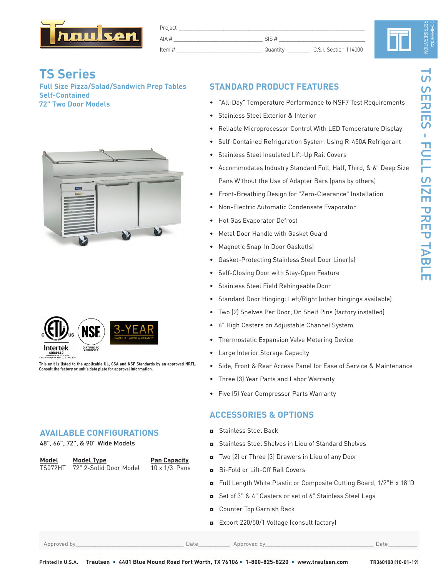

| Project  |          |                       |  |
|----------|----------|-----------------------|--|
| AIA $#$  | SIS#     |                       |  |
| Item $#$ | Quantity | C.S.I. Section 114000 |  |

# **TS Series**

**Full Size Pizza/Salad/Sandwich Prep Tables Self-Contained 72" Two Door Models**





**This unit is listed to the applicable UL, CSA and NSF Standards by an approved NRTL. Consult the factory or unit's data plate for approval information.**

### **AVAILABLE CONFIGURATIONS**

48", 66", 72", & 90" Wide Models

| Model   | Model Type             | <b>Pan Capacity</b>  |
|---------|------------------------|----------------------|
| TS072HT | 72" 2-Solid Door Model | $10 \times 1/3$ Pans |

# **STANDARD PRODUCT FEATURES**

- "All-Day" Temperature Performance to NSF7 Test Requirements
- Stainless Steel Exterior & Interior
- Reliable Microprocessor Control With LED Temperature Display
- Self-Contained Refrigeration System Using R-450A Refrigerant
- Stainless Steel Insulated Lift-Up Rail Covers
- Accommodates Industry Standard Full, Half, Third, & 6" Deep Size Pans Without the Use of Adapter Bars (pans by others)
- • Front-Breathing Design for "Zero-Clearance" Installation
- Non-Electric Automatic Condensate Evaporator
- Hot Gas Evaporator Defrost
- Metal Door Handle with Gasket Guard
- Magnetic Snap-In Door Gasket(s)
- Gasket-Protecting Stainless Steel Door Liner(s)
- Self-Closing Door with Stay-Open Feature
- • Stainless Steel Field Rehingeable Door
- Standard Door Hinging: Left/Right (other hingings available)
- • Two (2) Shelves Per Door, On Shelf Pins (factory installed)
- 6" High Casters on Adjustable Channel System
- Thermostatic Expansion Valve Metering Device
- Large Interior Storage Capacity
- Side, Front & Rear Access Panel for Ease of Service & Maintenance
- Three (3) Year Parts and Labor Warranty
- • Five (5) Year Compressor Parts Warranty

# **ACCESSORIES & OPTIONS**

- ◘ Stainless Steel Back
- ◘ Stainless Steel Shelves in Lieu of Standard Shelves
- ◘ Two (2) or Three (3) Drawers in Lieu of any Door
- ◘ Bi-Fold or Lift-Off Rail Covers
- ◘ Full Length White Plastic or Composite Cutting Board, 1/2"H x 18"D
- ◘ Set of 3" & 4" Casters or set of 6" Stainless Steel Legs
- ◘ Counter Top Garnish Rack
- ◘ Export 220/50/1 Voltage (consult factory)

Approved by\_\_\_\_\_\_\_\_\_\_\_\_\_\_\_\_\_\_\_\_\_\_\_\_\_\_\_\_\_\_\_\_\_\_\_\_\_\_ Date\_\_\_\_\_\_\_\_\_\_\_ Approved by\_\_\_\_\_\_\_\_\_\_\_\_\_\_\_\_\_\_\_\_\_\_\_\_\_\_\_\_\_\_\_\_\_\_\_\_\_\_ Date\_\_\_\_\_\_\_\_\_\_

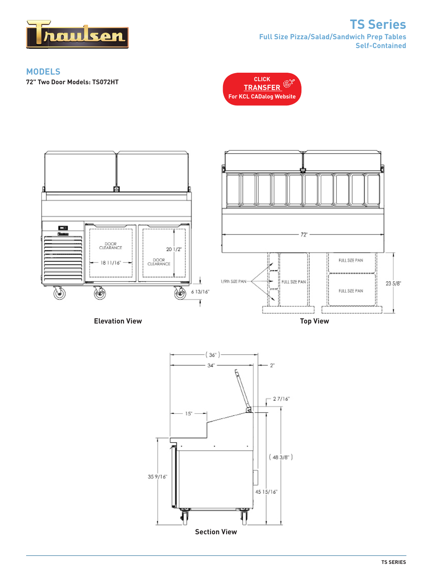

# **TS Series Full Size Pizza/Salad/Sandwich Prep Tables Self-Contained**

### **MODELS**

**72" Two Door Models: TS072HT [CLICK](http://traulsen.kclcad.com/Mobile)**